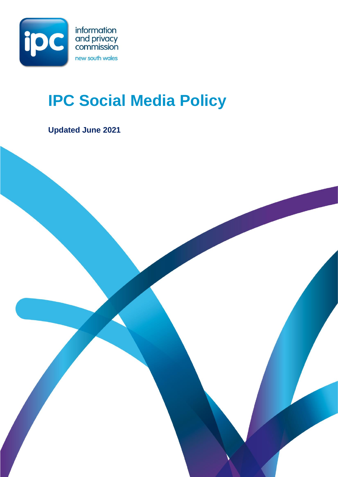

# **IPC Social Media Policy**

**Updated June 2021**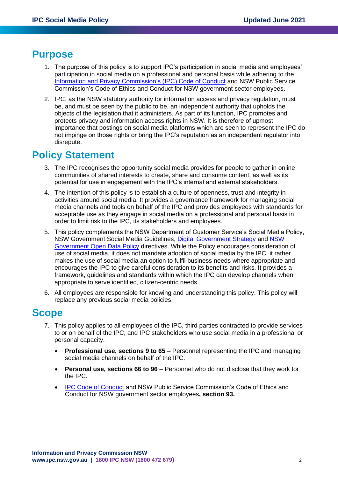### **Purpose**

- 1. The purpose of this policy is to support IPC's participation in social media and employees' participation in social media on a professional and personal basis while adhering to the Information and Privacy [Commission's \(IPC\) Code of Conduct](https://www.ipc.nsw.gov.au/node/201) and NSW Public Service Commission's Code of Ethics and Conduct for NSW government sector employees.
- 2. IPC, as the NSW statutory authority for information access and privacy regulation, must be, and must be seen by the public to be, an independent authority that upholds the objects of the legislation that it administers. As part of its function, IPC promotes and protects privacy and information access rights in NSW. It is therefore of upmost importance that postings on social media platforms which are seen to represent the IPC do not impinge on those rights or bring the IPC's reputation as an independent regulator into disrepute.

# **Policy Statement**

- 3. The IPC recognises the opportunity social media provides for people to gather in online communities of shared interests to create, share and consume content, as well as its potential for use in engagement with the IPC's internal and external stakeholders.
- 4. The intention of this policy is to establish a culture of openness, trust and integrity in activities around social media. It provides a governance framework for managing social media channels and tools on behalf of the IPC and provides employees with standards for acceptable use as they engage in social media on a professional and personal basis in order to limit risk to the IPC, its stakeholders and employees.
- 5. This policy complements the NSW Department of Customer Service's Social Media Policy, NSW Government Social Media Guidelines, [Digital Government Strategy](https://www.digital.nsw.gov.au/digital-strategy) and [NSW](https://www.digital.nsw.gov.au/sites/default/files/NSW_Government_Open_Data_Policy_2016.pdf)  [Government Open Data Policy](https://www.digital.nsw.gov.au/sites/default/files/NSW_Government_Open_Data_Policy_2016.pdf) directives. While the Policy encourages consideration of use of social media, it does not mandate adoption of social media by the IPC; it rather makes the use of social media an option to fulfil business needs where appropriate and encourages the IPC to give careful consideration to its benefits and risks. It provides a framework, guidelines and standards within which the IPC can develop channels when appropriate to serve identified, citizen-centric needs.
- 6. All employees are responsible for knowing and understanding this policy. This policy will replace any previous social media policies.

### **Scope**

- 7. This policy applies to all employees of the IPC, third parties contracted to provide services to or on behalf of the IPC, and IPC stakeholders who use social media in a professional or personal capacity.
	- **Professional use, sections 9 to 65** Personnel representing the IPC and managing social media channels on behalf of the IPC.
	- **Personal use, sections 66 to 96** Personnel who do not disclose that they work for the IPC.
	- [IPC Code of Conduct](https://www.ipc.nsw.gov.au/node/201) and NSW Public Service Commission's Code of Ethics and Conduct for NSW government sector employees**, section 93.**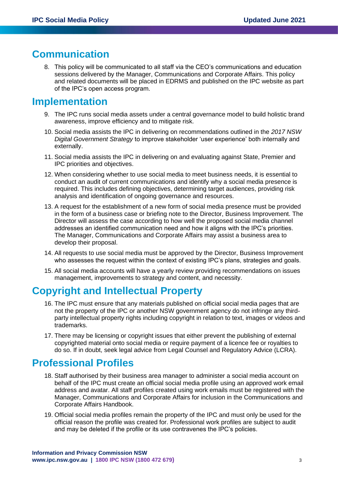# **Communication**

8. This policy will be communicated to all staff via the CEO's communications and education sessions delivered by the Manager, Communications and Corporate Affairs. This policy and related documents will be placed in EDRMS and published on the IPC website as part of the IPC's open access program.

### **Implementation**

- 9. The IPC runs social media assets under a central governance model to build holistic brand awareness, improve efficiency and to mitigate risk.
- 10. Social media assists the IPC in delivering on recommendations outlined in the *2017 NSW Digital Government Strategy* to improve stakeholder 'user experience' both internally and externally.
- 11. Social media assists the IPC in delivering on and evaluating against State, Premier and IPC priorities and objectives.
- 12. When considering whether to use social media to meet business needs, it is essential to conduct an audit of current communications and identify why a social media presence is required. This includes defining objectives, determining target audiences, providing risk analysis and identification of ongoing governance and resources.
- 13. A request for the establishment of a new form of social media presence must be provided in the form of a business case or briefing note to the Director, Business Improvement. The Director will assess the case according to how well the proposed social media channel addresses an identified communication need and how it aligns with the IPC's priorities. The Manager, Communications and Corporate Affairs may assist a business area to develop their proposal.
- 14. All requests to use social media must be approved by the Director, Business Improvement who assesses the request within the context of existing IPC's plans, strategies and goals.
- 15. All social media accounts will have a yearly review providing recommendations on issues management, improvements to strategy and content, and necessity.

# **Copyright and Intellectual Property**

- 16. The IPC must ensure that any materials published on official social media pages that are not the property of the IPC or another NSW government agency do not infringe any thirdparty intellectual property rights including copyright in relation to text, images or videos and trademarks.
- 17. There may be licensing or copyright issues that either prevent the publishing of external copyrighted material onto social media or require payment of a licence fee or royalties to do so. If in doubt, seek legal advice from Legal Counsel and Regulatory Advice (LCRA).

### **Professional Profiles**

- 18. Staff authorised by their business area manager to administer a social media account on behalf of the IPC must create an official social media profile using an approved work email address and avatar. All staff profiles created using work emails must be registered with the Manager, Communications and Corporate Affairs for inclusion in the Communications and Corporate Affairs Handbook.
- 19. Official social media profiles remain the property of the IPC and must only be used for the official reason the profile was created for. Professional work profiles are subject to audit and may be deleted if the profile or its use contravenes the IPC's policies.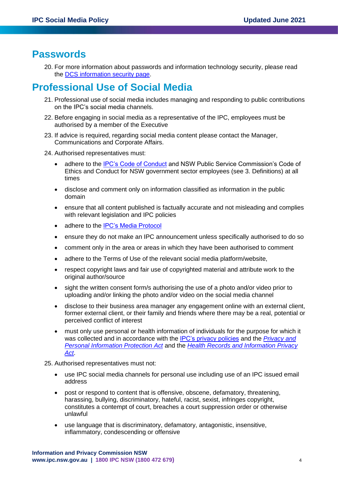### **Passwords**

20. For more information about passwords and information technology security, please read the [DCS information security page.](https://dfsiintranet.finance.nsw.gov.au/service/ict/information-security)

# **Professional Use of Social Media**

- 21. Professional use of social media includes managing and responding to public contributions on the IPC's social media channels.
- 22. Before engaging in social media as a representative of the IPC, employees must be authorised by a member of the Executive
- 23. If advice is required, regarding social media content please contact the Manager, Communications and Corporate Affairs.
- 24. Authorised representatives must:
	- adhere to the [IPC's Code of Conduct](https://www.ipc.nsw.gov.au/node/201) and NSW Public Service Commission's Code of Ethics and Conduct for NSW government sector employees (see 3. Definitions) at all times
	- disclose and comment only on information classified as information in the public domain
	- ensure that all content published is factually accurate and not misleading and complies with relevant legislation and IPC policies
	- adhere to the **IPC's Media Protocol**
	- ensure they do not make an IPC announcement unless specifically authorised to do so
	- comment only in the area or areas in which they have been authorised to comment
	- adhere to the Terms of Use of the relevant social media platform/website,
	- respect copyright laws and fair use of copyrighted material and attribute work to the original author/source
	- sight the written consent form/s authorising the use of a photo and/or video prior to uploading and/or linking the photo and/or video on the social media channel
	- disclose to their business area manager any engagement online with an external client, former external client, or their family and friends where there may be a real, potential or perceived conflict of interest
	- must only use personal or health information of individuals for the purpose for which it was collected and in accordance with the [IPC's privacy policies](https://www.ipc.nsw.gov.au/node/51) and the *[Privacy and](https://www.legislation.nsw.gov.au/#/view/act/1998/133)  [Personal Information Protection Act](https://www.legislation.nsw.gov.au/#/view/act/1998/133)* and the *[Health Records and Information Privacy](https://www.legislation.nsw.gov.au/#/view/act/2002/71)  [Act](https://www.legislation.nsw.gov.au/#/view/act/2002/71)*.
- 25. Authorised representatives must not:
	- use IPC social media channels for personal use including use of an IPC issued email address
	- post or respond to content that is offensive, obscene, defamatory, threatening, harassing, bullying, discriminatory, hateful, racist, sexist, infringes copyright, constitutes a contempt of court, breaches a court suppression order or otherwise unlawful
	- use language that is discriminatory, defamatory, antagonistic, insensitive, inflammatory, condescending or offensive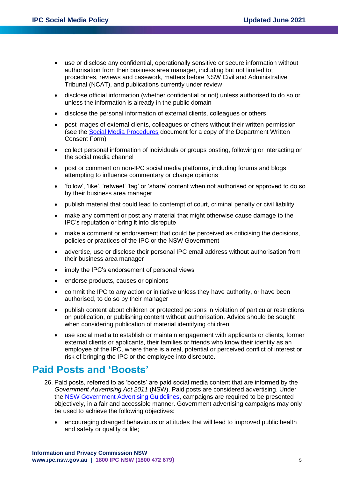- use or disclose any confidential, operationally sensitive or secure information without authorisation from their business area manager, including but not limited to; procedures, reviews and casework, matters before NSW Civil and Administrative Tribunal (NCAT), and publications currently under review
- disclose official information (whether confidential or not) unless authorised to do so or unless the information is already in the public domain
- disclose the personal information of external clients, colleagues or others
- post images of external clients, colleagues or others without their written permission (see the [Social Media Procedures](https://nswgov.sharepoint.com/sites/IPCAllStaff/Shared%20Documents/General/Hyperlinks%20-%20Documents/IPC_Social_Media_Procedures_November_2020%20-%20internal.tr5) document for a copy of the Department Written Consent Form)
- collect personal information of individuals or groups posting, following or interacting on the social media channel
- post or comment on non-IPC social media platforms, including forums and blogs attempting to influence commentary or change opinions
- 'follow', 'like', 'retweet' 'tag' or 'share' content when not authorised or approved to do so by their business area manager
- publish material that could lead to contempt of court, criminal penalty or civil liability
- make any comment or post any material that might otherwise cause damage to the IPC's reputation or bring it into disrepute
- make a comment or endorsement that could be perceived as criticising the decisions, policies or practices of the IPC or the NSW Government
- advertise, use or disclose their personal IPC email address without authorisation from their business area manager
- imply the IPC's endorsement of personal views
- endorse products, causes or opinions
- commit the IPC to any action or initiative unless they have authority, or have been authorised, to do so by their manager
- publish content about children or protected persons in violation of particular restrictions on publication, or publishing content without authorisation. Advice should be sought when considering publication of material identifying children
- use social media to establish or maintain engagement with applicants or clients, former external clients or applicants, their families or friends who know their identity as an employee of the IPC, where there is a real, potential or perceived conflict of interest or risk of bringing the IPC or the employee into disrepute.

### **Paid Posts and 'Boosts'**

- 26. Paid posts, referred to as 'boosts' are paid social media content that are informed by the *Government Advertising Act 2011* (NSW). Paid posts are considered advertising. Under the [NSW Government Advertising Guidelines,](https://communications.dpc.nsw.gov.au/assets/dpc-nsw-gov-au/files/Communications-and-Engagement/998238eddd/nsw-government-advertising-guidelines.pdf) campaigns are required to be presented objectively, in a fair and accessible manner. Government advertising campaigns may only be used to achieve the following objectives:
	- encouraging changed behaviours or attitudes that will lead to improved public health and safety or quality or life;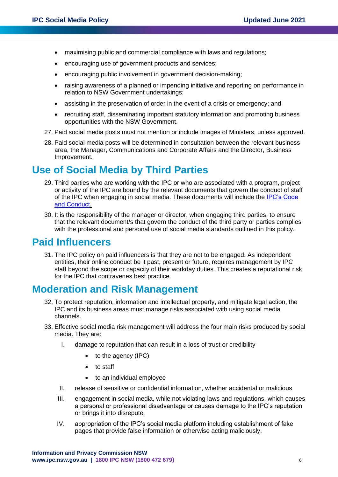- maximising public and commercial compliance with laws and regulations:
- encouraging use of government products and services;
- encouraging public involvement in government decision-making;
- raising awareness of a planned or impending initiative and reporting on performance in relation to NSW Government undertakings;
- assisting in the preservation of order in the event of a crisis or emergency; and
- recruiting staff, disseminating important statutory information and promoting business opportunities with the NSW Government.
- 27. Paid social media posts must not mention or include images of Ministers, unless approved.
- 28. Paid social media posts will be determined in consultation between the relevant business area, the Manager, Communications and Corporate Affairs and the Director, Business Improvement.

# **Use of Social Media by Third Parties**

- 29. Third parties who are working with the IPC or who are associated with a program, project or activity of the IPC are bound by the relevant documents that govern the conduct of staff of the IPC when engaging in social media. These documents will include the [IPC's Code](https://www.ipc.nsw.gov.au/node/201)  [and Conduct.](https://www.ipc.nsw.gov.au/node/201)
- 30. It is the responsibility of the manager or director, when engaging third parties, to ensure that the relevant document/s that govern the conduct of the third party or parties complies with the professional and personal use of social media standards outlined in this policy.

### **Paid Influencers**

31. The IPC policy on paid influencers is that they are not to be engaged. As independent entities, their online conduct be it past, present or future, requires management by IPC staff beyond the scope or capacity of their workday duties. This creates a reputational risk for the IPC that contravenes best practice.

# **Moderation and Risk Management**

- 32. To protect reputation, information and intellectual property, and mitigate legal action, the IPC and its business areas must manage risks associated with using social media channels.
- 33. Effective social media risk management will address the four main risks produced by social media. They are:
	- I. damage to reputation that can result in a loss of trust or credibility
		- to the agency (IPC)
		- to staff
		- to an individual employee
	- II. release of sensitive or confidential information, whether accidental or malicious
	- III. engagement in social media, while not violating laws and regulations, which causes a personal or professional disadvantage or causes damage to the IPC's reputation or brings it into disrepute.
	- IV. appropriation of the IPC's social media platform including establishment of fake pages that provide false information or otherwise acting maliciously.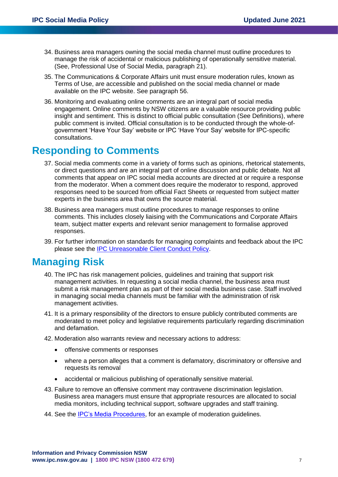- 34. Business area managers owning the social media channel must outline procedures to manage the risk of accidental or malicious publishing of operationally sensitive material. (See, Professional Use of Social Media, paragraph 21).
- 35. The Communications & Corporate Affairs unit must ensure moderation rules, known as Terms of Use, are accessible and published on the social media channel or made available on the IPC website. See paragraph 56.
- 36. Monitoring and evaluating online comments are an integral part of social media engagement. Online comments by NSW citizens are a valuable resource providing public insight and sentiment. This is distinct to official public consultation (See Definitions), where public comment is invited. Official consultation is to be conducted through the whole-ofgovernment 'Have Your Say' website or IPC 'Have Your Say' website for IPC-specific consultations.

### **Responding to Comments**

- 37. Social media comments come in a variety of forms such as opinions, rhetorical statements, or direct questions and are an integral part of online discussion and public debate. Not all comments that appear on IPC social media accounts are directed at or require a response from the moderator. When a comment does require the moderator to respond, approved responses need to be sourced from official Fact Sheets or requested from subject matter experts in the business area that owns the source material.
- 38. Business area managers must outline procedures to manage responses to online comments. This includes closely liaising with the Communications and Corporate Affairs team, subject matter experts and relevant senior management to formalise approved responses.
- 39. For further information on standards for managing complaints and feedback about the IPC please see the [IPC Unreasonable Client Conduct Policy.](https://www.ipc.nsw.gov.au/node/1595)

# **Managing Risk**

- 40. The IPC has risk management policies, guidelines and training that support risk management activities. In requesting a social media channel, the business area must submit a risk management plan as part of their social media business case. Staff involved in managing social media channels must be familiar with the administration of risk management activities.
- 41. It is a primary responsibility of the directors to ensure publicly contributed comments are moderated to meet policy and legislative requirements particularly regarding discrimination and defamation.
- 42. Moderation also warrants review and necessary actions to address:
	- offensive comments or responses
	- where a person alleges that a comment is defamatory, discriminatory or offensive and requests its removal
	- accidental or malicious publishing of operationally sensitive material.
- 43. Failure to remove an offensive comment may contravene discrimination legislation. Business area managers must ensure that appropriate resources are allocated to social media monitors, including technical support, software upgrades and staff training.
- 44. See the [IPC's Media Procedures,](https://nswgov.sharepoint.com/sites/IPCAllStaff/Shared%20Documents/General/Hyperlinks%20-%20Documents/IPC%20Media%20Procedure%20June%202021%20-%20(Keep%20updated%20-%20not%20published%20to%20website).tr5) for an example of moderation guidelines.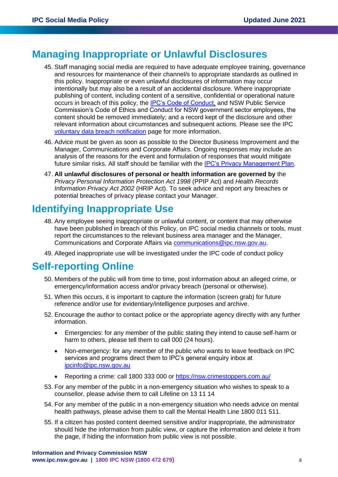# **Managing Inappropriate or Unlawful Disclosures**

- 45. Staff managing social media are required to have adequate employee training, governance and resources for maintenance of their channel/s to appropriate standards as outlined in this policy. Inappropriate or even unlawful disclosures of information may occur intentionally but may also be a result of an accidental disclosure. Where inappropriate publishing of content, including content of a sensitive, confidential or operational nature occurs in breach of this policy, the [IPC's Code of Conduct,](https://www.ipc.nsw.gov.au/node/201) and NSW Public Service Commission's Code of Ethics and Conduct for NSW government sector employees, the content should be removed immediately; and a record kept of the disclosure and other relevant information about circumstances and subsequent actions. Please see the IPC [voluntary data breach notification](https://www.ipc.nsw.gov.au/privacy/voluntary-data-breach-notification) page for more information.
- 46. Advice must be given as soon as possible to the Director Business Improvement and the Manager, Communications and Corporate Affairs. Ongoing responses may include an analysis of the reasons for the event and formulation of responses that would mitigate future similar risks. All staff should be familiar with the [IPC's Privacy Management Plan.](https://www.ipc.nsw.gov.au/node/51)
- 47. **All unlawful disclosures of personal or health information are governed by** the *Privacy Personal Information Protection Act 1998* (PPIP Act) and *Health Records Information Privacy Act 2002* (HRIP Act). To seek advice and report any breaches or potential breaches of privacy please contact your Manager.

# **Identifying Inappropriate Use**

- 48. Any employee seeing inappropriate or unlawful content, or content that may otherwise have been published in breach of this Policy, on IPC social media channels or tools, must report the circumstances to the relevant business area manager and the Manager, Communications and Corporate Affairs via [communications@ipc.nsw.gov.au.](mailto:communications@ipc.nsw.gov.au)
- 49. Alleged inappropriate use will be investigated under the IPC code of conduct policy

# **Self-reporting Online**

- 50. Members of the public will from time to time, post information about an alleged crime, or emergency/information access and/or privacy breach (personal or otherwise).
- 51. When this occurs, it is important to capture the information (screen grab) for future reference and/or use for evidentiary/intelligence purposes and archive.
- 52. Encourage the author to contact police or the appropriate agency directly with any further information.
	- Emergencies: for any member of the public stating they intend to cause self-harm or harm to others, please tell them to call 000 (24 hours).
	- Non-emergency: for any member of the public who wants to leave feedback on IPC services and programs direct them to IPC's general enquiry inbox at [ipcinfo@ipc.nsw.gov.au](mailto:ipcinfo@ipc.nsw.gov.au)
	- Reporting a crime: call 1800 333 000 or<https://nsw.crimestoppers.com.au/>
- 53. For any member of the public in a non-emergency situation who wishes to speak to a counsellor, please advise them to call Lifeline on 13 11 14
- 54. For any member of the public in a non-emergency situation who needs advice on mental health pathways, please advise them to call the Mental Health Line 1800 011 511.
- 55. If a citizen has posted content deemed sensitive and/or inappropriate, the administrator should hide the information from public view, or capture the information and delete it from the page, if hiding the information from public view is not possible.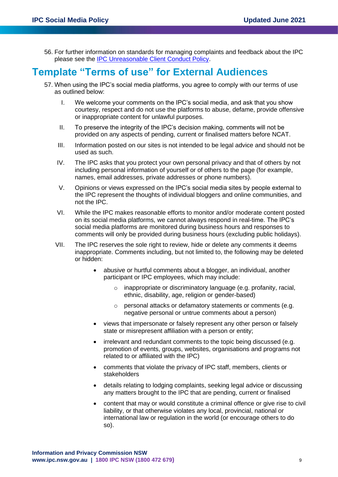56. For further information on standards for managing complaints and feedback about the IPC please see the [IPC Unreasonable Client Conduct Policy.](https://www.ipc.nsw.gov.au/node/1595)

# **Template "Terms of use" for External Audiences**

- 57. When using the IPC's social media platforms, you agree to comply with our terms of use as outlined below:
	- I. We welcome your comments on the IPC's social media, and ask that you show courtesy, respect and do not use the platforms to abuse, defame, provide offensive or inappropriate content for unlawful purposes.
	- II. To preserve the integrity of the IPC's decision making, comments will not be provided on any aspects of pending, current or finalised matters before NCAT.
	- III. Information posted on our sites is not intended to be legal advice and should not be used as such.
	- IV. The IPC asks that you protect your own personal privacy and that of others by not including personal information of yourself or of others to the page (for example, names, email addresses, private addresses or phone numbers).
	- V. Opinions or views expressed on the IPC's social media sites by people external to the IPC represent the thoughts of individual bloggers and online communities, and not the IPC.
	- VI. While the IPC makes reasonable efforts to monitor and/or moderate content posted on its social media platforms, we cannot always respond in real-time. The IPC's social media platforms are monitored during business hours and responses to comments will only be provided during business hours (excluding public holidays).
	- VII. The IPC reserves the sole right to review, hide or delete any comments it deems inappropriate. Comments including, but not limited to, the following may be deleted or hidden:
		- abusive or hurtful comments about a blogger, an individual, another participant or IPC employees, which may include:
			- o inappropriate or discriminatory language (e.g. profanity, racial, ethnic, disability, age, religion or gender-based)
			- o personal attacks or defamatory statements or comments (e.g. negative personal or untrue comments about a person)
		- views that impersonate or falsely represent any other person or falsely state or misrepresent affiliation with a person or entity;
		- irrelevant and redundant comments to the topic being discussed (e.g. promotion of events, groups, websites, organisations and programs not related to or affiliated with the IPC)
		- comments that violate the privacy of IPC staff, members, clients or stakeholders
		- details relating to lodging complaints, seeking legal advice or discussing any matters brought to the IPC that are pending, current or finalised
		- content that may or would constitute a criminal offence or give rise to civil liability, or that otherwise violates any local, provincial, national or international law or regulation in the world (or encourage others to do so).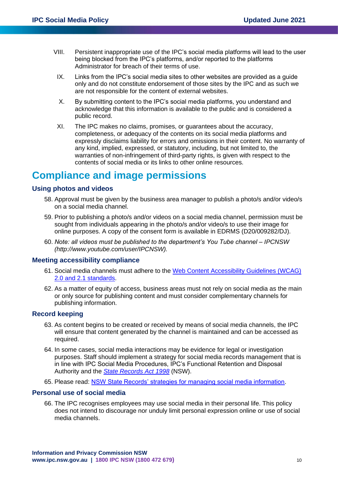- VIII. Persistent inappropriate use of the IPC's social media platforms will lead to the user being blocked from the IPC's platforms, and/or reported to the platforms Administrator for breach of their terms of use.
	- IX. Links from the IPC's social media sites to other websites are provided as a guide only and do not constitute endorsement of those sites by the IPC and as such we are not responsible for the content of external websites.
	- X. By submitting content to the IPC's social media platforms, you understand and acknowledge that this information is available to the public and is considered a public record.
- XI. The IPC makes no claims, promises, or guarantees about the accuracy, completeness, or adequacy of the contents on its social media platforms and expressly disclaims liability for errors and omissions in their content. No warranty of any kind, implied, expressed, or statutory, including, but not limited to, the warranties of non-infringement of third-party rights, is given with respect to the contents of social media or its links to other online resources.

# **Compliance and image permissions**

#### **Using photos and videos**

- 58. Approval must be given by the business area manager to publish a photo/s and/or video/s on a social media channel.
- 59. Prior to publishing a photo/s and/or videos on a social media channel, permission must be sought from individuals appearing in the photo/s and/or video/s to use their image for online purposes. A copy of the consent form is available in EDRMS (D20/009282/DJ).
- 60. *Note: all videos must be published to the department's You Tube channel – IPCNSW (http://www.youtube.com/user/IPCNSW).*

#### **Meeting accessibility compliance**

- 61. Social media channels must adhere to the [Web Content Accessibility Guidelines \(WCAG\)](https://www.w3.org/WAI/standards-guidelines/wcag/)  [2.0 and 2.1 standards.](https://www.w3.org/WAI/standards-guidelines/wcag/)
- 62. As a matter of equity of access, business areas must not rely on social media as the main or only source for publishing content and must consider complementary channels for publishing information.

#### **Record keeping**

- 63. As content begins to be created or received by means of social media channels, the IPC will ensure that content generated by the channel is maintained and can be accessed as required.
- 64. In some cases, social media interactions may be evidence for legal or investigation purposes. Staff should implement a strategy for social media records management that is in line with IPC Social Media Procedures, IPC's Functional Retention and Disposal Authority and the *[State Records Act 1998](https://www.legislation.nsw.gov.au/#/view/act/1998/17/full)* (NSW).
- 65. Please read: [NSW State Records' strategies for managing social media information.](https://www.records.nsw.gov.au/recordkeeping/advice/strategies-for-managing-social-media-information)

#### **Personal use of social media**

66. The IPC recognises employees may use social media in their personal life. This policy does not intend to discourage nor unduly limit personal expression online or use of social media channels.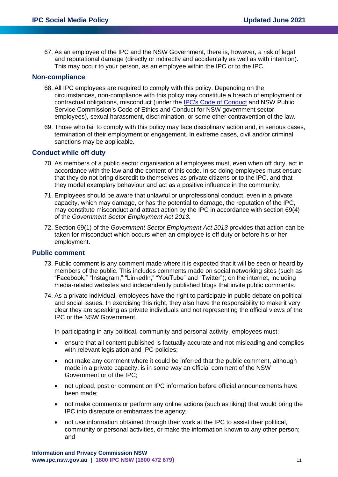67. As an employee of the IPC and the NSW Government, there is, however, a risk of legal and reputational damage (directly or indirectly and accidentally as well as with intention). This may occur to your person, as an employee within the IPC or to the IPC.

#### **Non-compliance**

- 68. All IPC employees are required to comply with this policy. Depending on the circumstances, non-compliance with this policy may constitute a breach of employment or contractual obligations, misconduct (under the [IPC's Code of Conduct](https://www.ipc.nsw.gov.au/node/201) and NSW Public Service Commission's Code of Ethics and Conduct for NSW government sector employees), sexual harassment, discrimination, or some other contravention of the law.
- 69. Those who fail to comply with this policy may face disciplinary action and, in serious cases, termination of their employment or engagement. In extreme cases, civil and/or criminal sanctions may be applicable*.*

#### **Conduct while off duty**

- 70. As members of a public sector organisation all employees must, even when off duty, act in accordance with the law and the content of this code. In so doing employees must ensure that they do not bring discredit to themselves as private citizens or to the IPC, and that they model exemplary behaviour and act as a positive influence in the community.
- 71. Employees should be aware that unlawful or unprofessional conduct, even in a private capacity, which may damage, or has the potential to damage, the reputation of the IPC, may constitute misconduct and attract action by the IPC in accordance with section 69(4) of the *Government Sector Employment Act 2013.*
- 72. Section 69(1) of the *Government Sector Employment Act 2013* provides that action can be taken for misconduct which occurs when an employee is off duty or before his or her employment.

#### **Public comment**

- 73. Public comment is any comment made where it is expected that it will be seen or heard by members of the public. This includes comments made on social networking sites (such as "Facebook," "Instagram," "LinkedIn," "YouTube" and "Twitter"); on the internet, including media-related websites and independently published blogs that invite public comments.
- 74. As a private individual, employees have the right to participate in public debate on political and social issues. In exercising this right, they also have the responsibility to make it very clear they are speaking as private individuals and not representing the official views of the IPC or the NSW Government.

In participating in any political, community and personal activity, employees must:

- ensure that all content published is factually accurate and not misleading and complies with relevant legislation and IPC policies;
- not make any comment where it could be inferred that the public comment, although made in a private capacity, is in some way an official comment of the NSW Government or of the IPC;
- not upload, post or comment on IPC information before official announcements have been made;
- not make comments or perform any online actions (such as liking) that would bring the IPC into disrepute or embarrass the agency;
- not use information obtained through their work at the IPC to assist their political, community or personal activities, or make the information known to any other person; and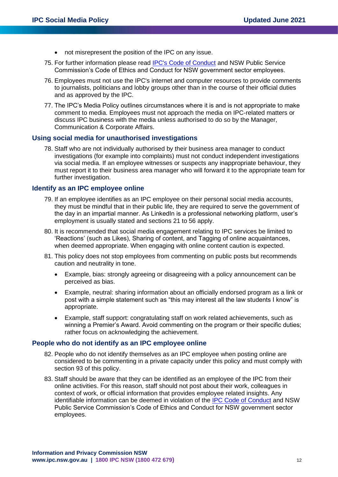- not misrepresent the position of the IPC on any issue.
- 75. For further information please read [IPC's Code of Conduct](https://www.ipc.nsw.gov.au/node/201) and NSW Public Service Commission's Code of Ethics and Conduct for NSW government sector employees.
- 76. Employees must not use the IPC's internet and computer resources to provide comments to journalists, politicians and lobby groups other than in the course of their official duties and as approved by the IPC.
- 77. The IPC's Media Policy outlines circumstances where it is and is not appropriate to make comment to media. Employees must not approach the media on IPC-related matters or discuss IPC business with the media unless authorised to do so by the Manager, Communication & Corporate Affairs.

#### **Using social media for unauthorised investigations**

78. Staff who are not individually authorised by their business area manager to conduct investigations (for example into complaints) must not conduct independent investigations via social media. If an employee witnesses or suspects any inappropriate behaviour, they must report it to their business area manager who will forward it to the appropriate team for further investigation.

#### **Identify as an IPC employee online**

- 79. If an employee identifies as an IPC employee on their personal social media accounts, they must be mindful that in their public life, they are required to serve the government of the day in an impartial manner. As LinkedIn is a professional networking platform, user's employment is usually stated and sections 21 to 56 apply.
- 80. It is recommended that social media engagement relating to IPC services be limited to 'Reactions' (such as Likes), Sharing of content, and Tagging of online acquaintances, when deemed appropriate. When engaging with online content caution is expected.
- 81. This policy does not stop employees from commenting on public posts but recommends caution and neutrality in tone.
	- Example, bias: strongly agreeing or disagreeing with a policy announcement can be perceived as bias.
	- Example, neutral: sharing information about an officially endorsed program as a link or post with a simple statement such as "this may interest all the law students I know" is appropriate.
	- Example, staff support: congratulating staff on work related achievements, such as winning a Premier's Award. Avoid commenting on the program or their specific duties; rather focus on acknowledging the achievement.

#### **People who do not identify as an IPC employee online**

- 82. People who do not identify themselves as an IPC employee when posting online are considered to be commenting in a private capacity under this policy and must comply with section 93 of this policy.
- 83. Staff should be aware that they can be identified as an employee of the IPC from their online activities. For this reason, staff should not post about their work, colleagues in context of work, or official information that provides employee related insights. Any identifiable information can be deemed in violation of the [IPC Code of Conduct](https://www.ipc.nsw.gov.au/node/201) and NSW Public Service Commission's Code of Ethics and Conduct for NSW government sector employees.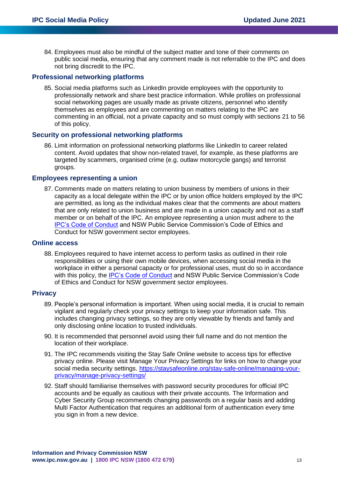84. Employees must also be mindful of the subject matter and tone of their comments on public social media, ensuring that any comment made is not referrable to the IPC and does not bring discredit to the IPC.

#### **Professional networking platforms**

85. Social media platforms such as LinkedIn provide employees with the opportunity to professionally network and share best practice information. While profiles on professional social networking pages are usually made as private citizens, personnel who identify themselves as employees and are commenting on matters relating to the IPC are commenting in an official, not a private capacity and so must comply with sections 21 to 56 of this policy.

#### **Security on professional networking platforms**

86. Limit information on professional networking platforms like LinkedIn to career related content. Avoid updates that show non-related travel, for example, as these platforms are targeted by scammers, organised crime (e.g. outlaw motorcycle gangs) and terrorist groups*.*

#### **Employees representing a union**

87. Comments made on matters relating to union business by members of unions in their capacity as a local delegate within the IPC or by union office holders employed by the IPC are permitted, as long as the individual makes clear that the comments are about matters that are only related to union business and are made in a union capacity and not as a staff member or on behalf of the IPC. An employee representing a union must adhere to the [IPC's Code of Conduct](https://www.ipc.nsw.gov.au/node/201) and NSW Public Service Commission's Code of Ethics and Conduct for NSW government sector employees.

#### **Online access**

88. Employees required to have internet access to perform tasks as outlined in their role responsibilities or using their own mobile devices, when accessing social media in the workplace in either a personal capacity or for professional uses, must do so in accordance with this policy, the [IPC's Code of Conduct](https://www.ipc.nsw.gov.au/node/201) and NSW Public Service Commission's Code of Ethics and Conduct for NSW government sector employees.

#### **Privacy**

- 89. People's personal information is important. When using social media, it is crucial to remain vigilant and regularly check your privacy settings to keep your information safe. This includes changing privacy settings, so they are only viewable by friends and family and only disclosing online location to trusted individuals.
- 90. It is recommended that personnel avoid using their full name and do not mention the location of their workplace.
- 91. The IPC recommends visiting the Stay Safe Online website to access tips for effective privacy online. Please visit Manage Your Privacy Settings for links on how to change your social media security settings. [https://staysafeonline.org/stay-safe-online/managing-your](https://staysafeonline.org/stay-safe-online/managing-your-privacy/manage-privacy-settings/)[privacy/manage-privacy-settings/](https://staysafeonline.org/stay-safe-online/managing-your-privacy/manage-privacy-settings/)
- 92. Staff should familiarise themselves with password security procedures for official IPC accounts and be equally as cautious with their private accounts. The Information and Cyber Security Group recommends changing passwords on a regular basis and adding Multi Factor Authentication that requires an additional form of authentication every time you sign in from a new device.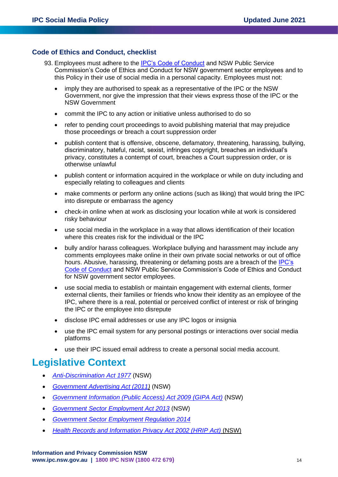#### **Code of Ethics and Conduct, checklist**

- 93. Employees must adhere to the [IPC's Code of Conduct](https://www.ipc.nsw.gov.au/node/201) and NSW Public Service Commission's Code of Ethics and Conduct for NSW government sector employees and to this Policy in their use of social media in a personal capacity. Employees must not:
	- imply they are authorised to speak as a representative of the IPC or the NSW Government, nor give the impression that their views express those of the IPC or the NSW Government
	- commit the IPC to any action or initiative unless authorised to do so
	- refer to pending court proceedings to avoid publishing material that may prejudice those proceedings or breach a court suppression order
	- publish content that is offensive, obscene, defamatory, threatening, harassing, bullying, discriminatory, hateful, racist, sexist, infringes copyright, breaches an individual's privacy, constitutes a contempt of court, breaches a Court suppression order, or is otherwise unlawful
	- publish content or information acquired in the workplace or while on duty including and especially relating to colleagues and clients
	- make comments or perform any online actions (such as liking) that would bring the IPC into disrepute or embarrass the agency
	- check-in online when at work as disclosing your location while at work is considered risky behaviour
	- use social media in the workplace in a way that allows identification of their location where this creates risk for the individual or the IPC
	- bully and/or harass colleagues. Workplace bullying and harassment may include any comments employees make online in their own private social networks or out of office hours. Abusive, harassing, threatening or defaming posts are a breach of the [IPC's](https://www.ipc.nsw.gov.au/node/201)  [Code of Conduct](https://www.ipc.nsw.gov.au/node/201) and NSW Public Service Commission's Code of Ethics and Conduct for NSW government sector employees.
	- use social media to establish or maintain engagement with external clients, former external clients, their families or friends who know their identity as an employee of the IPC, where there is a real, potential or perceived conflict of interest or risk of bringing the IPC or the employee into disrepute
	- disclose IPC email addresses or use any IPC logos or insignia
	- use the IPC email system for any personal postings or interactions over social media platforms
	- use their IPC issued email address to create a personal social media account.

# **Legislative Context**

- *[Anti-Discrimination Act 1977](https://www.legislation.nsw.gov.au/#/view/act/1977/48)* (NSW)
- *[Government Advertising Act \(2011\)](https://www.legislation.nsw.gov.au/#/view/act/2011/35)* (NSW)
- *[Government Information \(Public Access\) Act 2009 \(GIPA Act\)](https://www.legislation.nsw.gov.au/)* (NSW)
- *[Government Sector Employment Act 2013](https://www.legislation.nsw.gov.au/)* (NSW)
- *[Government Sector Employment Regulation 2014](https://www.legislation.nsw.gov.au/#/view/regulation/2014/60)*
- *[Health Records and Information Privacy Act 2002 \(HRIP Act\)](https://www.legislation.nsw.gov.au/)* (NSW)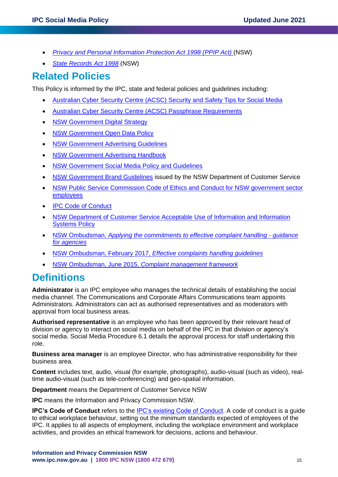- *[Privacy and Personal Information Protection Act 1998 \(PPIP Act\)](https://www.legislation.nsw.gov.au/)* (NSW)
- *[State Records Act 1998](https://www.legislation.nsw.gov.au/#/view/act/1998/17/full)* (NSW)

# **Related Policies**

This Policy is informed by the IPC, state and federal policies and guidelines including:

- [Australian Cyber Security Centre \(ACSC\) Security and Safety Tips for Social Media](https://www.cyber.gov.au/publications/security-tips-for-social-media)
- [Australian Cyber Security Centre \(ACSC\) Passphrase Requirements](https://www.cyber.gov.au/acsc/view-all-content/publications/creating-strong-passphrases)
- [NSW Government Digital Strategy](https://www.digital.nsw.gov.au/digital-strategy)
- [NSW Government Open Data Policy](https://www.digital.nsw.gov.au/sites/default/files/NSW_Government_Open_Data_Policy_2016.pdf)
- [NSW Government Advertising Guidelines](https://communications.dpc.nsw.gov.au/communications-resources/advertising-handbook/)
- [NSW Government Advertising Handbook](https://communications.dpc.nsw.gov.au/communications-resources/advertising-handbook/)
- [NSW Government Social Media Policy and Guidelines](https://www.nsw.gov.au/nsw-government-communications/social-media)
- [NSW Government Brand Guidelines](https://www.nsw.gov.au/nsw-government-communications/branding) issued by the NSW Department of Customer Service
- [NSW Public Service Commission Code of Ethics and Conduct for NSW government sector](https://www.psc.nsw.gov.au/about-us/our-code-of-ethics-and-conduct)  [employees](https://www.psc.nsw.gov.au/about-us/our-code-of-ethics-and-conduct)
- [IPC Code of Conduct](https://www.ipc.nsw.gov.au/node/201)
- NSW Department of Customer Service [Acceptable Use of Information and Information](https://www.customerservice.nsw.gov.au/__data/assets/pdf_file/0003/533550/Acceptable_Use_Policyv3_0.pdf)  [Systems Policy](https://www.customerservice.nsw.gov.au/__data/assets/pdf_file/0003/533550/Acceptable_Use_Policyv3_0.pdf)
- NSW Ombudsman, *[Applying the commitments to effective complaint handling -](https://www.ombo.nsw.gov.au/complaints/Complaint-handling-resources/applying-commitments) guidance [for agencies](https://www.ombo.nsw.gov.au/complaints/Complaint-handling-resources/applying-commitments)*
- NSW Ombudsman, February 2017, *[Effective complaints handling guidelines](https://www.ombo.nsw.gov.au/news-and-publications/publications/guidelines/state-and-local-government/effective-complaint-handling-guidelines-3rd-edition)*
- NSW Ombudsman, June 2015, *[Complaint management framework](https://www.ombo.nsw.gov.au/news-and-publications/publications/guidelines/state-and-local-government/complaint-management-framework-june-2015)*

# **Definitions**

**Administrator** is an IPC employee who manages the technical details of establishing the social media channel. The Communications and Corporate Affairs Communications team appoints Administrators. Administrators can act as authorised representatives and as moderators with approval from local business areas.

**Authorised representative** is an employee who has been approved by their relevant head of division or agency to interact on social media on behalf of the IPC in that division or agency's social media. Social Media Procedure 6.1 details the approval process for staff undertaking this role.

**Business area manager** is an employee Director, who has administrative responsibility for their business area.

**Content** includes text, audio, visual (for example, photographs), audio-visual (such as video), realtime audio-visual (such as tele-conferencing) and geo-spatial information.

**Department** means the Department of Customer Service NSW

**IPC** means the Information and Privacy Commission NSW.

**IPC's Code of Conduct** refers to the [IPC's existing Code of Conduct.](https://www.ipc.nsw.gov.au/node/201) A code of conduct is a guide to ethical workplace behaviour, setting out the minimum standards expected of employees of the IPC. It applies to all aspects of employment, including the workplace environment and workplace activities, and provides an ethical framework for decisions, actions and behaviour.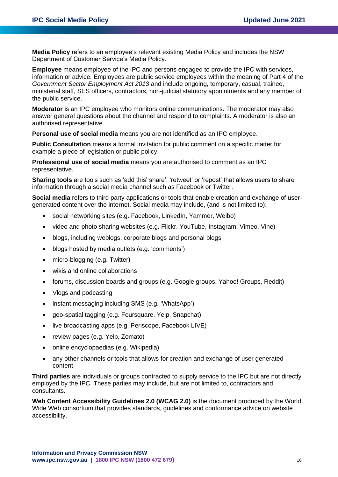**Media Policy** refers to an employee's relevant existing Media Policy and includes the NSW Department of Customer Service's Media Policy.

**Employee** means employee of the IPC and persons engaged to provide the IPC with services, information or advice. Employees are public service employees within the meaning of Part 4 of the *Government Sector Employment Act 2013* and include ongoing, temporary, casual, trainee, ministerial staff, SES officers, contractors, non-judicial statutory appointments and any member of the public service.

**Moderator** is an IPC employee who monitors online communications. The moderator may also answer general questions about the channel and respond to complaints. A moderator is also an authorised representative.

**Personal use of social media** means you are not identified as an IPC employee.

**Public Consultation** means a formal invitation for public comment on a specific matter for example a piece of legislation or public policy.

**Professional use of social media** means you are authorised to comment as an IPC representative.

**Sharing tools** are tools such as 'add this' share', 'retweet' or 'repost' that allows users to share information through a social media channel such as Facebook or Twitter.

**Social media** refers to third party applications or tools that enable creation and exchange of usergenerated content over the internet. Social media may include, (and is not limited to):

- social networking sites (e.g. Facebook, LinkedIn, Yammer, Weibo)
- video and photo sharing websites (e.g. Flickr, YouTube, Instagram, Vimeo, Vine)
- blogs, including weblogs, corporate blogs and personal blogs
- blogs hosted by media outlets (e.g. 'comments')
- micro-blogging (e.g. Twitter)
- wikis and online collaborations
- forums, discussion boards and groups (e.g. Google groups, Yahoo! Groups, Reddit)
- Vlogs and podcasting
- instant messaging including SMS (e.g. 'WhatsApp')
- geo-spatial tagging (e.g. Foursquare, Yelp, Snapchat)
- live broadcasting apps (e.g. Periscope, Facebook LIVE)
- review pages (e.g. Yelp, Zomato)
- online encyclopaedias (e.g. Wikipedia)
- any other channels or tools that allows for creation and exchange of user generated content.

**Third parties** are individuals or groups contracted to supply service to the IPC but are not directly employed by the IPC. These parties may include, but are not limited to, contractors and consultants.

**Web Content Accessibility Guidelines 2.0 (WCAG 2.0)** is the document produced by the World Wide Web consortium that provides standards, guidelines and conformance advice on website accessibility.